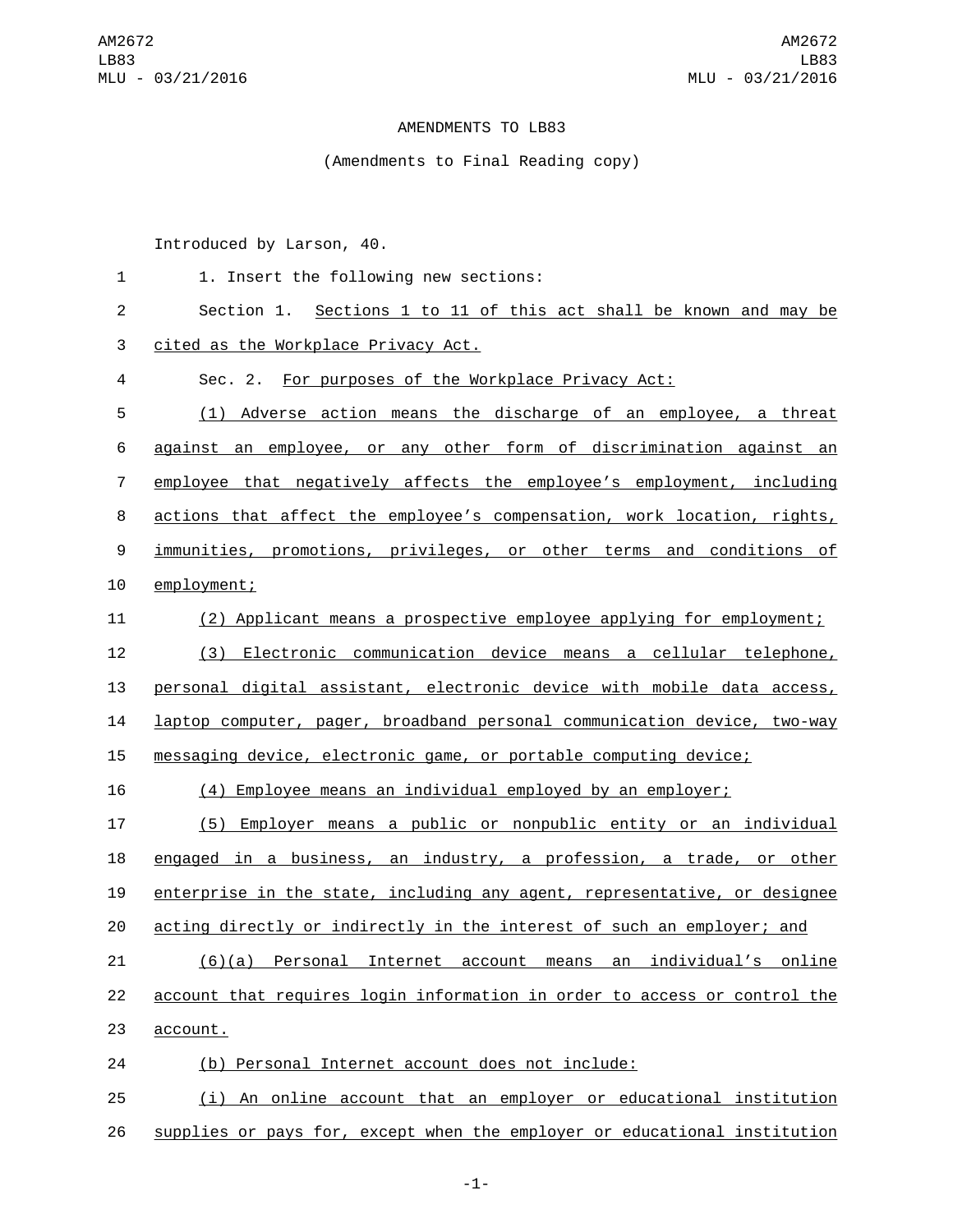## AMENDMENTS TO LB83

## (Amendments to Final Reading copy)

Introduced by Larson, 40.

| $\mathbf{1}$   | 1. Insert the following new sections:                                     |
|----------------|---------------------------------------------------------------------------|
| $\overline{c}$ | Section 1. Sections 1 to 11 of this act shall be known and may be         |
| 3              | cited as the Workplace Privacy Act.                                       |
| $\overline{4}$ | Sec. 2. For purposes of the Workplace Privacy Act:                        |
| 5              | (1) Adverse action means the discharge of an employee, a threat           |
| 6              | against an employee, or any other form of discrimination against an       |
| 7              | employee that negatively affects the employee's employment, including     |
| 8              | actions that affect the employee's compensation, work location, rights,   |
| 9              | immunities, promotions, privileges, or other terms and conditions of      |
| 10             | employment;                                                               |
| 11             | (2) Applicant means a prospective employee applying for employment;       |
| 12             | (3) Electronic communication device means a cellular telephone,           |
| 13             | personal digital assistant, electronic device with mobile data access,    |
| 14             | laptop computer, pager, broadband personal communication device, two-way  |
| 15             | messaging device, electronic game, or portable computing device;          |
| 16             | (4) Employee means an individual employed by an employer;                 |
| 17             | (5) Employer means a public or nonpublic entity or an individual          |
| 18             | engaged in a business, an industry, a profession, a trade, or other       |
| 19             | enterprise in the state, including any agent, representative, or designee |
| 20             | acting directly or indirectly in the interest of such an employer; and    |
| 21             | (6)(a) Personal Internet account means an individual's online             |
| 22             | account that requires login information in order to access or control the |
| 23             | account.                                                                  |
| 24             | (b) Personal Internet account does not include:                           |
| 25             | (i) An online account that an employer or educational institution         |

supplies or pays for, except when the employer or educational institution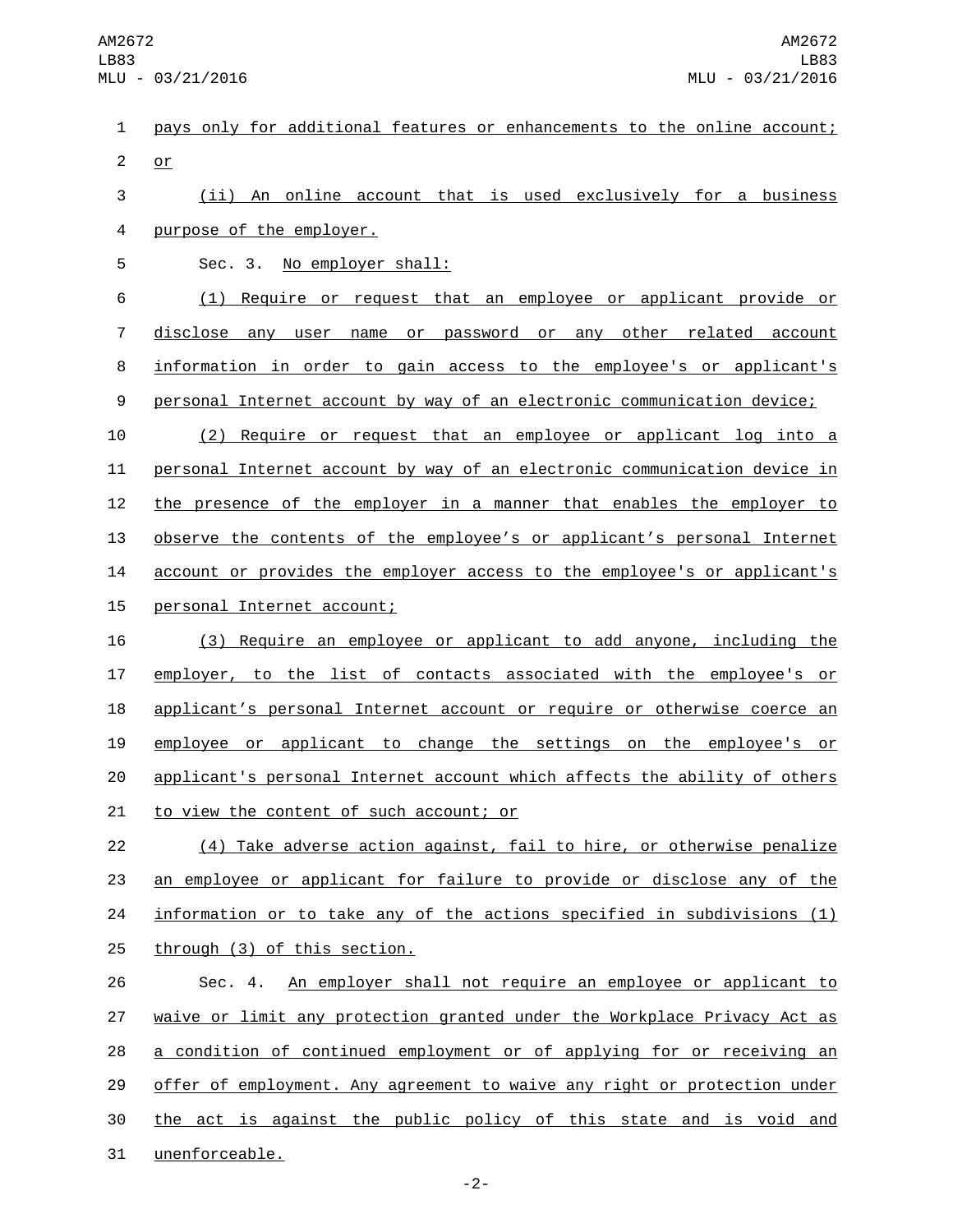1 pays only for additional features or enhancements to the online account;  $2$  or

3 (ii) An online account that is used exclusively for a business 4 purpose of the employer.

5 Sec. 3. No employer shall: (1) Require or request that an employee or applicant provide or disclose any user name or password or any other related account information in order to gain access to the employee's or applicant's personal Internet account by way of an electronic communication device;

10 (2) Require or request that an employee or applicant log into a 11 personal Internet account by way of an electronic communication device in 12 the presence of the employer in a manner that enables the employer to 13 observe the contents of the employee's or applicant's personal Internet 14 account or provides the employer access to the employee's or applicant's 15 personal Internet account;

 (3) Require an employee or applicant to add anyone, including the employer, to the list of contacts associated with the employee's or 18 applicant's personal Internet account or require or otherwise coerce an employee or applicant to change the settings on the employee's or applicant's personal Internet account which affects the ability of others 21 to view the content of such account; or

22 (4) Take adverse action against, fail to hire, or otherwise penalize 23 an employee or applicant for failure to provide or disclose any of the 24 information or to take any of the actions specified in subdivisions (1) 25 through (3) of this section.

26 Sec. 4. An employer shall not require an employee or applicant to 27 waive or limit any protection granted under the Workplace Privacy Act as 28 a condition of continued employment or of applying for or receiving an 29 offer of employment. Any agreement to waive any right or protection under 30 the act is against the public policy of this state and is void and 31 unenforceable.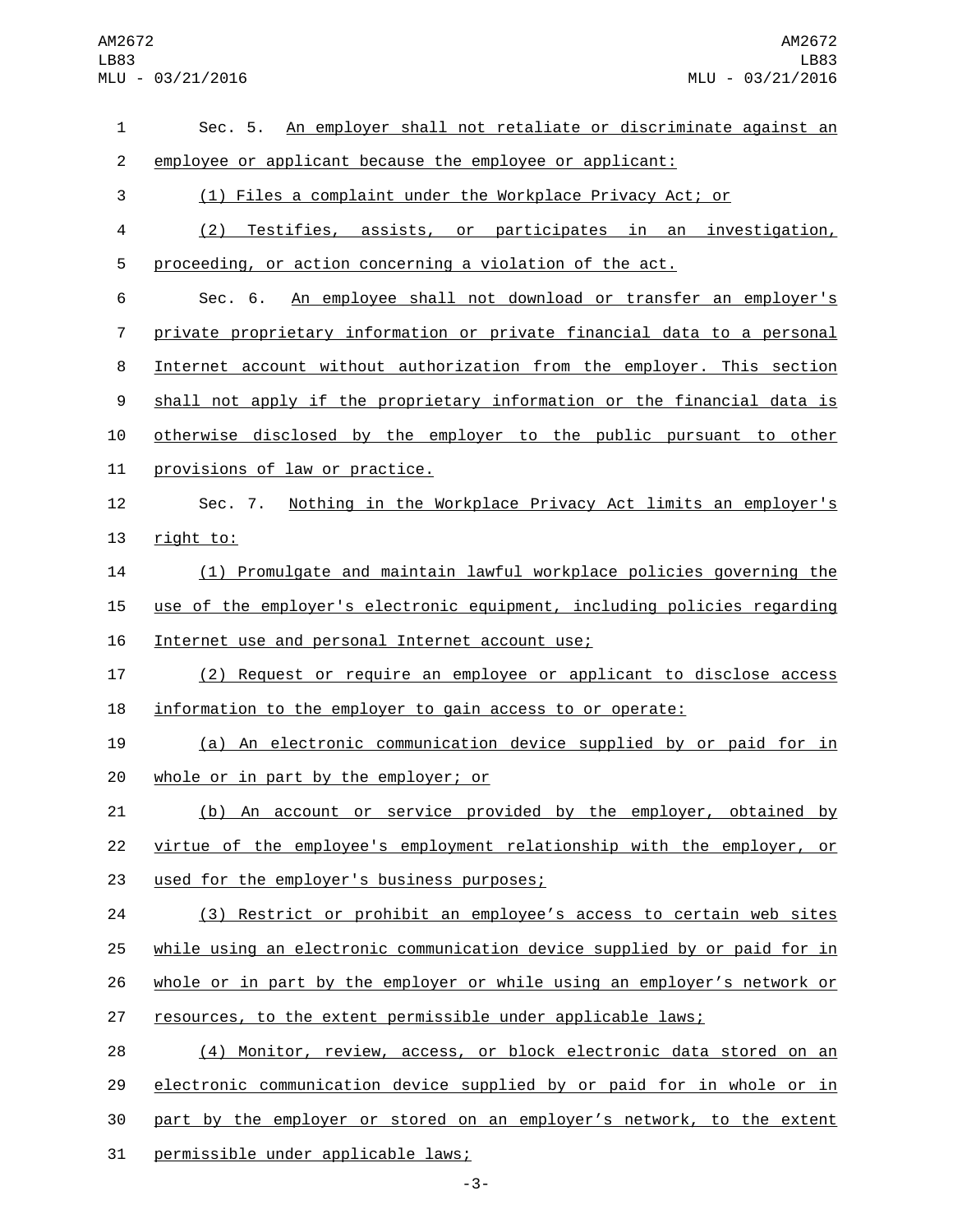## AM2672 LB83 MLU - 03/21/2016

| 1              | Sec. 5. An employer shall not retaliate or discriminate against an        |
|----------------|---------------------------------------------------------------------------|
| 2              | employee or applicant because the employee or applicant:                  |
| 3              | (1) Files a complaint under the Workplace Privacy Act; or                 |
| 4              | (2) Testifies, assists, or participates in an investigation,              |
| 5              | proceeding, or action concerning a violation of the act.                  |
| 6              | An employee shall not download or transfer an employer's<br>Sec. 6.       |
| $\overline{7}$ | private proprietary information or private financial data to a personal   |
| 8              | Internet account without authorization from the employer. This section    |
| 9              | shall not apply if the proprietary information or the financial data is   |
| 10             | otherwise disclosed by the employer to the public pursuant to other       |
| 11             | provisions of law or practice.                                            |
| 12             | Nothing in the Workplace Privacy Act limits an employer's<br>Sec. 7.      |
| 13             | right to:                                                                 |
| 14             | (1) Promulgate and maintain lawful workplace policies governing the       |
| 15             | use of the employer's electronic equipment, including policies regarding  |
| 16             | Internet use and personal Internet account use;                           |
| 17             | (2) Request or require an employee or applicant to disclose access        |
| 18             | information to the employer to gain access to or operate:                 |
| 19             | (a) An electronic communication device supplied by or paid for in         |
| 20             | whole or in part by the employer; or                                      |
| 21             | <u>(b) An account or service provided by the employer, obtained by</u>    |
| 22             | virtue of the employee's employment relationship with the employer, or    |
| 23             | used for the employer's business purposes;                                |
| 24             | (3) Restrict or prohibit an employee's access to certain web sites        |
| 25             | while using an electronic communication device supplied by or paid for in |
| 26             | whole or in part by the employer or while using an employer's network or  |
| 27             | resources, to the extent permissible under applicable laws;               |
| 28             | (4) Monitor, review, access, or block electronic data stored on an        |
| 29             | electronic communication device supplied by or paid for in whole or in    |
| 30             | part by the employer or stored on an employer's network, to the extent    |
| 31             | permissible under applicable laws;                                        |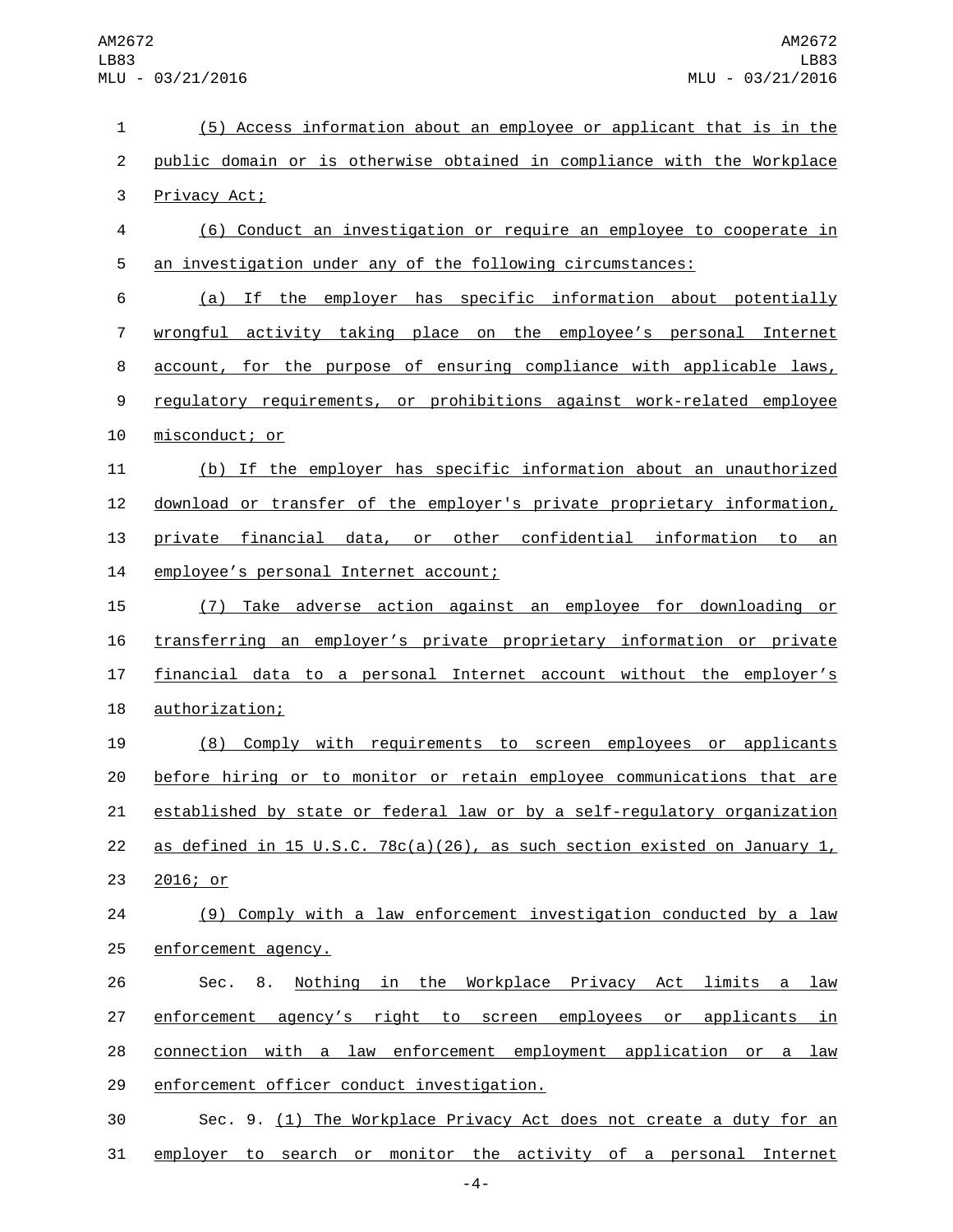| $\mathbf 1$    | (5) Access information about an employee or applicant that is in the      |
|----------------|---------------------------------------------------------------------------|
| $\overline{c}$ | public domain or is otherwise obtained in compliance with the Workplace   |
| 3              | Privacy Act;                                                              |
| 4              | (6) Conduct an investigation or require an employee to cooperate in       |
| 5              | an investigation under any of the following circumstances:                |
| 6              | If the employer has specific information about potentially<br>(a)         |
| $\overline{7}$ | wrongful activity taking place on the employee's personal Internet        |
| 8              | account, for the purpose of ensuring compliance with applicable laws,     |
| 9              | regulatory requirements, or prohibitions against work-related employee    |
| 10             | misconduct; or                                                            |
| 11             | (b) If the employer has specific information about an unauthorized        |
| 12             | download or transfer of the employer's private proprietary information,   |
| 13             | private financial data, or other confidential information to<br>an        |
| 14             | employee's personal Internet account;                                     |
| 15             | Take adverse action against an employee for downloading or<br>(7)         |
| 16             | transferring an employer's private proprietary information or private     |
| 17             | financial data to a personal Internet account without the employer's      |
| 18             | authorization;                                                            |
| 19             | (8) Comply with requirements to screen employees or applicants            |
| 20             | before hiring or to monitor or retain employee communications that are    |
| 21             | established by state or federal law or by a self-regulatory organization  |
| 22             | as defined in 15 U.S.C. 78c(a)(26), as such section existed on January 1, |
| 23             | 2016; or                                                                  |
| 24             | (9) Comply with a law enforcement investigation conducted by a law        |
| 25             | enforcement agency.                                                       |
| 26             | Nothing in the Workplace Privacy Act limits a law<br>8.<br>Sec.           |
| 27             | enforcement agency's right to screen employees or applicants in           |
| 28             | connection with a law enforcement employment application or a law         |
| 29             | enforcement officer conduct investigation.                                |
| 30             | Sec. 9. (1) The Workplace Privacy Act does not create a duty for an       |
| 31             | employer to search or monitor the activity of a personal Internet         |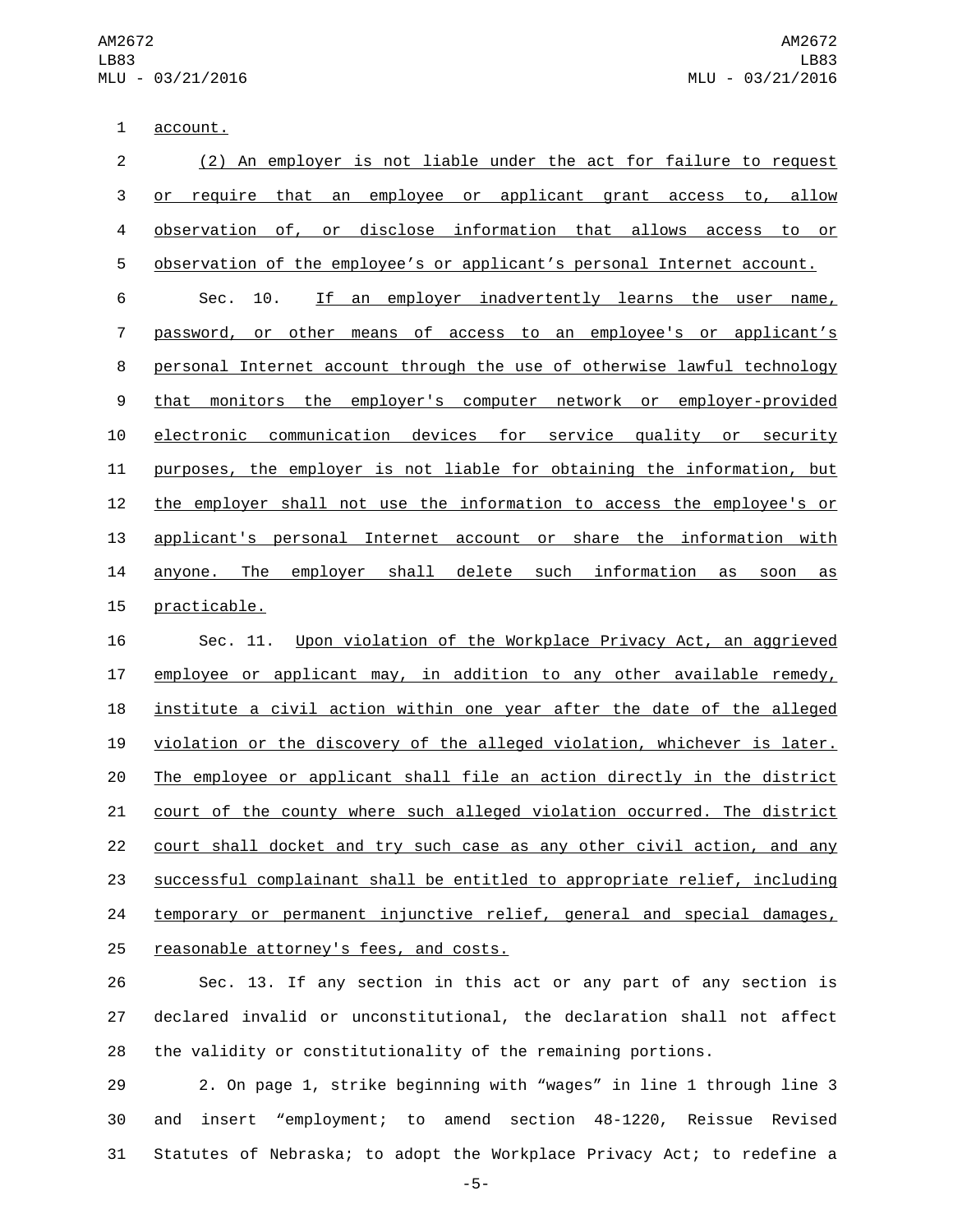1 account.

| $\overline{2}$   | (2) An employer is not liable under the act for failure to request        |
|------------------|---------------------------------------------------------------------------|
| 3                | that an employee or applicant grant access to, allow<br>require<br>or     |
| 4                | disclose information that allows access<br>observation of,<br>or<br>to or |
| 5                | observation of the employee's or applicant's personal Internet account.   |
| 6                | an employer inadvertently learns the user name,<br>10.<br>If<br>Sec.      |
| $\overline{7}$   | password, or other<br>means of access to an employee's or applicant's     |
| 8                | personal Internet account through the use of otherwise lawful technology  |
| $\boldsymbol{9}$ | monitors the employer's computer network or employer-provided<br>that     |
| 10               | electronic communication devices for service quality or security          |
| 11               | purposes, the employer is not liable for obtaining the information, but   |
| 12               | the employer shall not use the information to access the employee's or    |
| 13               | applicant's personal Internet account or share the information with       |
| 14               | employer shall delete such information<br>anyone. The<br>as<br>soon<br>as |
| 15               | practicable.                                                              |
| 16               | Upon violation of the Workplace Privacy Act, an aggrieved<br>Sec. 11.     |
| 17               | employee or applicant may, in addition to any other available remedy,     |
| 18               | institute a civil action within one year after the date of the alleged    |

 violation or the discovery of the alleged violation, whichever is later. 20 The employee or applicant shall file an action directly in the district court of the county where such alleged violation occurred. The district court shall docket and try such case as any other civil action, and any successful complainant shall be entitled to appropriate relief, including 24 temporary or permanent injunctive relief, general and special damages, 25 reasonable attorney's fees, and costs.

 Sec. 13. If any section in this act or any part of any section is declared invalid or unconstitutional, the declaration shall not affect the validity or constitutionality of the remaining portions.

 2. On page 1, strike beginning with "wages" in line 1 through line 3 and insert "employment; to amend section 48-1220, Reissue Revised Statutes of Nebraska; to adopt the Workplace Privacy Act; to redefine a

-5-